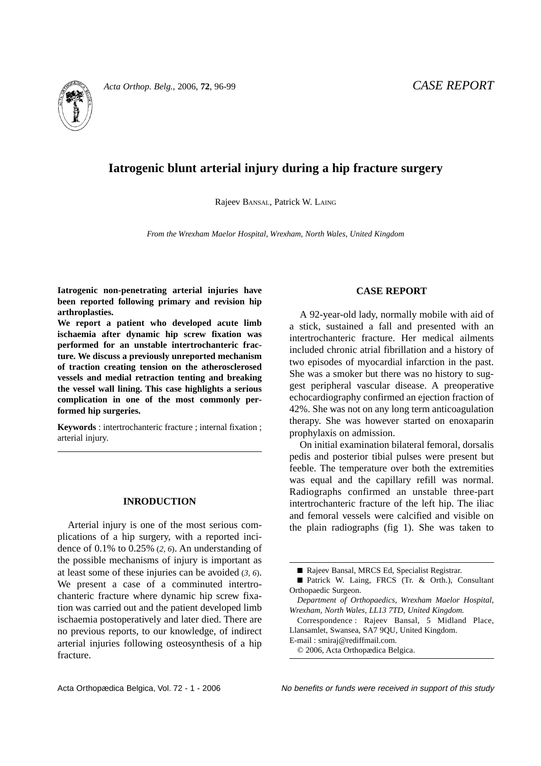

# **Iatrogenic blunt arterial injury during a hip fracture surgery**

Rajeev BANSAL, Patrick W. LAING

*From the Wrexham Maelor Hospital, Wrexham, North Wales, United Kingdom*

**Iatrogenic non-penetrating arterial injuries have been reported following primary and revision hip arthroplasties.**

**We report a patient who developed acute limb ischaemia after dynamic hip screw fixation was performed for an unstable intertrochanteric fracture. We discuss a previously unreported mechanism of traction creating tension on the atherosclerosed vessels and medial retraction tenting and breaking the vessel wall lining. This case highlights a serious complication in one of the most commonly performed hip surgeries.**

**Keywords** : intertrochanteric fracture ; internal fixation ; arterial injury.

### **INRODUCTION**

Arterial injury is one of the most serious complications of a hip surgery, with a reported incidence of 0.1% to 0.25% (*2, 6*). An understanding of the possible mechanisms of injury is important as at least some of these injuries can be avoided (*3, 6*). We present a case of a comminuted intertrochanteric fracture where dynamic hip screw fixation was carried out and the patient developed limb ischaemia postoperatively and later died. There are no previous reports, to our knowledge, of indirect arterial injuries following osteosynthesis of a hip fracture.

#### **CASE REPORT**

A 92-year-old lady, normally mobile with aid of a stick, sustained a fall and presented with an intertrochanteric fracture. Her medical ailments included chronic atrial fibrillation and a history of two episodes of myocardial infarction in the past. She was a smoker but there was no history to suggest peripheral vascular disease. A preoperative echocardiography confirmed an ejection fraction of 42%. She was not on any long term anticoagulation therapy. She was however started on enoxaparin prophylaxis on admission.

On initial examination bilateral femoral, dorsalis pedis and posterior tibial pulses were present but feeble. The temperature over both the extremities was equal and the capillary refill was normal. Radiographs confirmed an unstable three-part intertrochanteric fracture of the left hip. The iliac and femoral vessels were calcified and visible on the plain radiographs (fig 1). She was taken to

Correspondence : Rajeev Bansal, 5 Midland Place, Llansamlet, Swansea, SA7 9QU, United Kingdom.

E-mail : smiraj@rediffmail.com.

© 2006, Acta Orthopædica Belgica.

Acta Orthopædica Belgica, Vol. 72 - 1 - 2006 No benefits or funds were received in support of this study

<sup>■</sup> Rajeev Bansal, MRCS Ed, Specialist Registrar.

<sup>■</sup> Patrick W. Laing, FRCS (Tr. & Orth.), Consultant Orthopaedic Surgeon.

*Department of Orthopaedics, Wrexham Maelor Hospital, Wrexham, North Wales, LL13 7TD, United Kingdom.*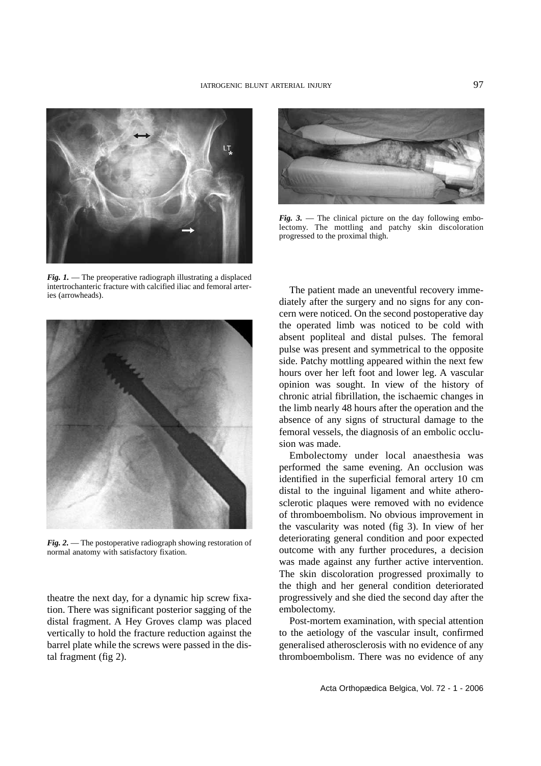

*Fig. 1.* — The preoperative radiograph illustrating a displaced intertrochanteric fracture with calcified iliac and femoral arteries (arrowheads).



*Fig. 2.* — The postoperative radiograph showing restoration of normal anatomy with satisfactory fixation.

theatre the next day, for a dynamic hip screw fixation. There was significant posterior sagging of the distal fragment. A Hey Groves clamp was placed vertically to hold the fracture reduction against the barrel plate while the screws were passed in the distal fragment (fig 2).



*Fig. 3.* — The clinical picture on the day following embolectomy. The mottling and patchy skin discoloration progressed to the proximal thigh.

The patient made an uneventful recovery immediately after the surgery and no signs for any concern were noticed. On the second postoperative day the operated limb was noticed to be cold with absent popliteal and distal pulses. The femoral pulse was present and symmetrical to the opposite side. Patchy mottling appeared within the next few hours over her left foot and lower leg. A vascular opinion was sought. In view of the history of chronic atrial fibrillation, the ischaemic changes in the limb nearly 48 hours after the operation and the absence of any signs of structural damage to the femoral vessels, the diagnosis of an embolic occlusion was made.

Embolectomy under local anaesthesia was performed the same evening. An occlusion was identified in the superficial femoral artery 10 cm distal to the inguinal ligament and white atherosclerotic plaques were removed with no evidence of thromboembolism. No obvious improvement in the vascularity was noted (fig 3). In view of her deteriorating general condition and poor expected outcome with any further procedures, a decision was made against any further active intervention. The skin discoloration progressed proximally to the thigh and her general condition deteriorated progressively and she died the second day after the embolectomy.

Post-mortem examination, with special attention to the aetiology of the vascular insult, confirmed generalised atherosclerosis with no evidence of any thromboembolism. There was no evidence of any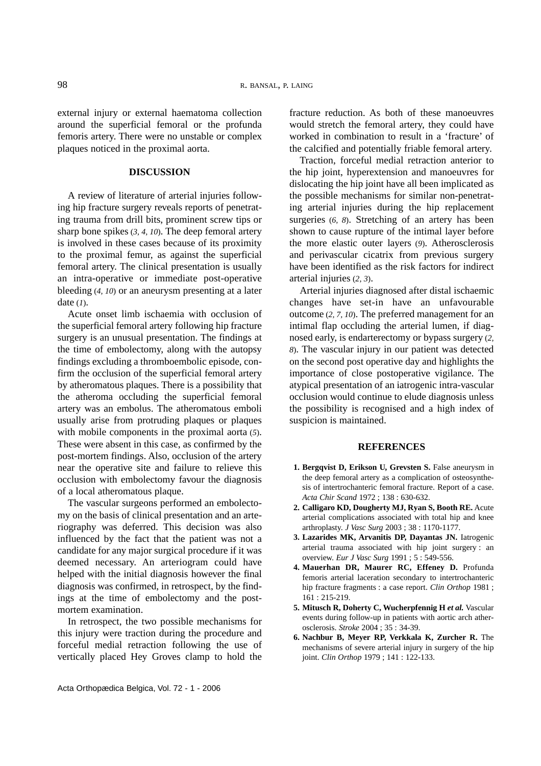external injury or external haematoma collection around the superficial femoral or the profunda femoris artery. There were no unstable or complex plaques noticed in the proximal aorta.

## **DISCUSSION**

A review of literature of arterial injuries following hip fracture surgery reveals reports of penetrating trauma from drill bits, prominent screw tips or sharp bone spikes (*3, 4, 10*). The deep femoral artery is involved in these cases because of its proximity to the proximal femur, as against the superficial femoral artery. The clinical presentation is usually an intra-operative or immediate post-operative bleeding (*4, 10*) or an aneurysm presenting at a later date (*1*).

Acute onset limb ischaemia with occlusion of the superficial femoral artery following hip fracture surgery is an unusual presentation. The findings at the time of embolectomy, along with the autopsy findings excluding a thromboembolic episode, confirm the occlusion of the superficial femoral artery by atheromatous plaques. There is a possibility that the atheroma occluding the superficial femoral artery was an embolus. The atheromatous emboli usually arise from protruding plaques or plaques with mobile components in the proximal aorta (*5*). These were absent in this case, as confirmed by the post-mortem findings. Also, occlusion of the artery near the operative site and failure to relieve this occlusion with embolectomy favour the diagnosis of a local atheromatous plaque.

The vascular surgeons performed an embolectomy on the basis of clinical presentation and an arteriography was deferred. This decision was also influenced by the fact that the patient was not a candidate for any major surgical procedure if it was deemed necessary. An arteriogram could have helped with the initial diagnosis however the final diagnosis was confirmed, in retrospect, by the findings at the time of embolectomy and the postmortem examination.

In retrospect, the two possible mechanisms for this injury were traction during the procedure and forceful medial retraction following the use of vertically placed Hey Groves clamp to hold the fracture reduction. As both of these manoeuvres would stretch the femoral artery, they could have worked in combination to result in a 'fracture' of the calcified and potentially friable femoral artery.

Traction, forceful medial retraction anterior to the hip joint, hyperextension and manoeuvres for dislocating the hip joint have all been implicated as the possible mechanisms for similar non-penetrating arterial injuries during the hip replacement surgeries (*6, 8*). Stretching of an artery has been shown to cause rupture of the intimal layer before the more elastic outer layers (*9*). Atherosclerosis and perivascular cicatrix from previous surgery have been identified as the risk factors for indirect arterial injuries (*2, 3*).

Arterial injuries diagnosed after distal ischaemic changes have set-in have an unfavourable outcome (*2, 7, 10*). The preferred management for an intimal flap occluding the arterial lumen, if diagnosed early, is endarterectomy or bypass surgery (*2, 8*). The vascular injury in our patient was detected on the second post operative day and highlights the importance of close postoperative vigilance. The atypical presentation of an iatrogenic intra-vascular occlusion would continue to elude diagnosis unless the possibility is recognised and a high index of suspicion is maintained.

## **REFERENCES**

- **1. Bergqvist D, Erikson U, Grevsten S.** False aneurysm in the deep femoral artery as a complication of osteosynthesis of intertrochanteric femoral fracture. Report of a case. *Acta Chir Scand* 1972 ; 138 : 630-632.
- **2. Calligaro KD, Dougherty MJ, Ryan S, Booth RE.** Acute arterial complications associated with total hip and knee arthroplasty. *J Vasc Surg* 2003 ; 38 : 1170-1177.
- **3. Lazarides MK, Arvanitis DP, Dayantas JN.** Iatrogenic arterial trauma associated with hip joint surgery : an overview. *Eur J Vasc Surg* 1991 ; 5 : 549-556.
- **4. Mauerhan DR, Maurer RC, Effeney D.** Profunda femoris arterial laceration secondary to intertrochanteric hip fracture fragments : a case report. *Clin Orthop* 1981 ; 161 : 215-219.
- **5. Mitusch R, Doherty C, Wucherpfennig H** *et al.* Vascular events during follow-up in patients with aortic arch atherosclerosis. *Stroke* 2004 ; 35 : 34-39.
- **6. Nachbur B, Meyer RP, Verkkala K, Zurcher R.** The mechanisms of severe arterial injury in surgery of the hip joint. *Clin Orthop* 1979 ; 141 : 122-133.